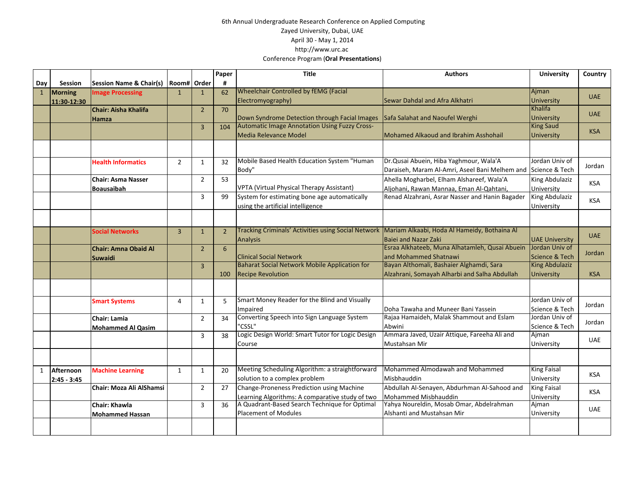## 6th Annual Undergraduate Research Conference on Applied Computing Zayed University, Dubai, UAE April 30 ‐ May 1, 2014 http://www.urc.ac Conference Program (**Oral Presentations**)

|              |             |                                    |                |                | Paper         | <b>Title</b>                                                                                       | <b>Authors</b>                                  | <b>University</b>     | Country    |
|--------------|-------------|------------------------------------|----------------|----------------|---------------|----------------------------------------------------------------------------------------------------|-------------------------------------------------|-----------------------|------------|
| Day          | Session     | <b>Session Name &amp; Chair(s)</b> | Room#          | Order          | #             |                                                                                                    |                                                 |                       |            |
| $\mathbf{1}$ | Morning     | <b>Image Processing</b>            | $\mathbf{1}$   | $\mathbf{1}$   | 62            | <b>Wheelchair Controlled by fEMG (Facial</b>                                                       |                                                 | Ajman                 | <b>UAE</b> |
|              | 11:30-12:30 |                                    |                |                |               | Electromyography)                                                                                  | Sewar Dahdal and Afra Alkhatri                  | University            |            |
|              |             | Chair: Aisha Khalifa               |                | $\overline{2}$ | 70            |                                                                                                    |                                                 | Khalifa               | <b>UAE</b> |
|              |             | Hamza                              |                |                |               | Down Syndrome Detection through Facial Images                                                      | Safa Salahat and Naoufel Werghi                 | <b>University</b>     |            |
|              |             |                                    |                | $\overline{3}$ | 104           | Automatic Image Annotation Using Fuzzy Cross-                                                      |                                                 | <b>King Saud</b>      | <b>KSA</b> |
|              |             |                                    |                |                |               | Media Relevance Model                                                                              | Mohamed Alkaoud and Ibrahim Asshohail           | <b>University</b>     |            |
|              |             |                                    |                |                |               |                                                                                                    |                                                 |                       |            |
|              |             |                                    |                |                |               |                                                                                                    |                                                 |                       |            |
|              |             | <b>Health Informatics</b>          | $\overline{2}$ | $\mathbf{1}$   | 32            | Mobile Based Health Education System "Human                                                        | Dr. Qusai Abuein, Hiba Yaghmour, Wala'A         | Jordan Univ of        | Jordan     |
|              |             |                                    |                |                |               | Body"                                                                                              | Daraiseh, Maram Al-Amri, Aseel Bani Melhem and  | Science & Tech        |            |
|              |             | Chair: Asma Nasser                 |                | $\overline{2}$ | 53            |                                                                                                    | Ahella Mogharbel, Elham Alshareef, Wala'A       | <b>King Abdulaziz</b> | KSA        |
|              |             | Boausaibah                         |                |                |               | VPTA (Virtual Physical Therapy Assistant)                                                          | Aljohani, Rawan Mannaa, Eman Al-Qahtani,        | University            |            |
|              |             |                                    |                | $\overline{3}$ | 99            | System for estimating bone age automatically                                                       | Renad Alzahrani, Asrar Nasser and Hanin Bagader | King Abdulaziz        | <b>KSA</b> |
|              |             |                                    |                |                |               | using the artificial intelligence                                                                  |                                                 | University            |            |
|              |             |                                    |                |                |               |                                                                                                    |                                                 |                       |            |
|              |             |                                    |                |                |               |                                                                                                    |                                                 |                       |            |
|              |             | <b>Social Networks</b>             | $\overline{3}$ | $\mathbf{1}$   | $\mathcal{P}$ | Tracking Criminals' Activities using Social Network   Mariam Alkaabi, Hoda Al Hameidy, Bothaina Al |                                                 |                       | <b>UAE</b> |
|              |             |                                    |                |                |               | <b>Analysis</b>                                                                                    | <b>Baiei and Nazar Zaki</b>                     | <b>UAE University</b> |            |
|              |             | <b>Chair: Amna Obaid Al</b>        |                | $\overline{2}$ | 6             |                                                                                                    | Esraa Alkhateeb, Muna Alhatamleh, Qusai Abuein  | Jordan Univ of        | Jordan     |
|              |             | <b>Suwaidi</b>                     |                |                |               | <b>Clinical Social Network</b>                                                                     | and Mohammed Shatnawi                           | Science & Tech        |            |
|              |             |                                    |                | $\overline{3}$ |               | <b>Baharat Social Network Mobile Application for</b>                                               | Bayan Althomali, Bashaier Alghamdi, Sara        | <b>King Abdulaziz</b> |            |
|              |             |                                    |                |                | 100           | <b>Recipe Revolution</b>                                                                           | Alzahrani, Somayah Alharbi and Salha Abdullah   | <b>University</b>     | <b>KSA</b> |
|              |             |                                    |                |                |               |                                                                                                    |                                                 |                       |            |
|              |             |                                    |                |                |               | Smart Money Reader for the Blind and Visually                                                      |                                                 | Jordan Univ of        |            |
|              |             | <b>Smart Systems</b>               | 4              | 1              | 5.            | Impaired                                                                                           | Doha Tawaha and Muneer Bani Yassein             | Science & Tech        | Jordan     |
|              |             | <b>Chair: Lamia</b>                |                | $\overline{2}$ | 34            | Converting Speech into Sign Language System                                                        | Rajaa Hamaideh, Malak Shammout and Eslam        | Jordan Univ of        |            |
|              |             |                                    |                |                |               | "CSSL"                                                                                             | Abwini                                          | Science & Tech        | Jordan     |
|              |             | Mohammed Al Qasim                  |                | $\overline{3}$ | 38            | Logic Design World: Smart Tutor for Logic Design                                                   | Ammara Javed, Uzair Attique, Fareeha Ali and    | Aiman                 |            |
|              |             |                                    |                |                |               | Course                                                                                             | Mustahsan Mir                                   | University            | <b>UAE</b> |
|              |             |                                    |                |                |               |                                                                                                    |                                                 |                       |            |
|              |             |                                    |                |                |               |                                                                                                    |                                                 |                       |            |
| 1            | Afternoon   | <b>Machine Learning</b>            | $\mathbf{1}$   | $\mathbf{1}$   | 20            | Meeting Scheduling Algorithm: a straightforward                                                    | Mohammed Almodawah and Mohammed                 | <b>King Faisal</b>    |            |
|              | 2:45 - 3:45 |                                    |                |                |               | solution to a complex problem                                                                      | Misbhauddin                                     | University            | <b>KSA</b> |
|              |             | Chair: Moza Ali AlShamsi           |                | $\overline{2}$ | 27            | Change-Proneness Prediction using Machine                                                          | Abdullah Al-Senayen, Abdurhman Al-Sahood and    | King Faisal           |            |
|              |             |                                    |                |                |               | Learning Algorithms: A comparative study of two                                                    | Mohammed Misbhauddin                            | University            | <b>KSA</b> |
|              |             | <b>Chair: Khawla</b>               |                | $\overline{3}$ | 36            | A Quadrant-Based Search Technique for Optimal                                                      | Yahya Noureldin, Mosab Omar, Abdelrahman        | Ajman                 |            |
|              |             | <b>Mohammed Hassan</b>             |                |                |               | Placement of Modules                                                                               | Alshanti and Mustahsan Mir                      | University            | <b>UAE</b> |
|              |             |                                    |                |                |               |                                                                                                    |                                                 |                       |            |
|              |             |                                    |                |                |               |                                                                                                    |                                                 |                       |            |